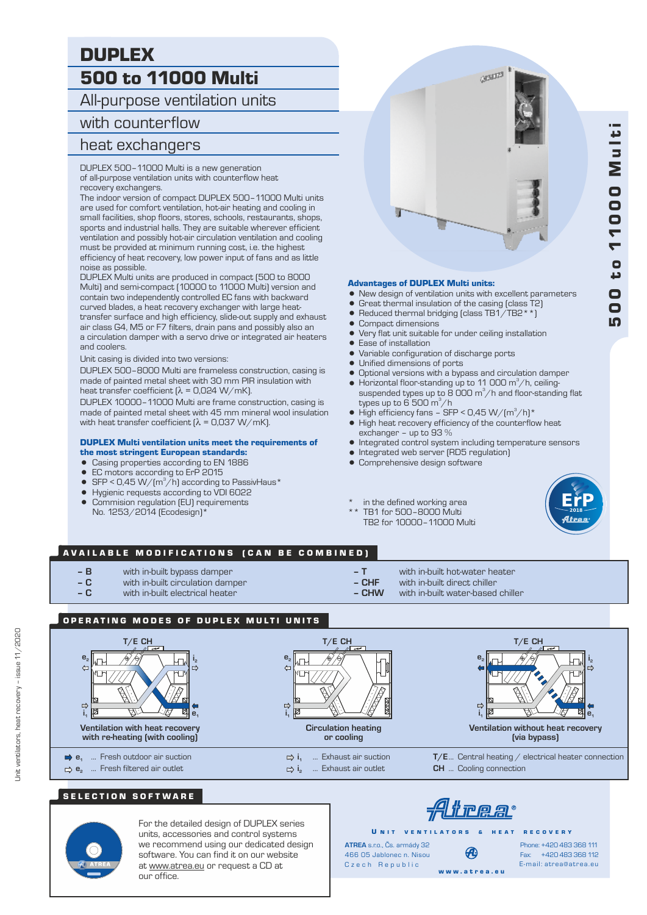# 500 to 11000 Multi DUPLEX

All-purpose ventilation units

# with counterflow

## heat exchangers

DUPLEX 500–11000 Multi is a new generation of all-purpose ventilation units with counterflow heat recovery exchangers.

The indoor version of compact DUPLEX 500–11000 Multi units are used for comfort ventilation, hot-air heating and cooling in small facilities, shop floors, stores, schools, restaurants, shops, sports and industrial halls. They are suitable wherever efficient ventilation and possibly hot-air circulation ventilation and cooling must be provided at minimum running cost, i.e. the highest efficiency of heat recovery, low power input of fans and as little noise as possible.

DUPLEX Multi units are produced in compact (500 to 8000 Multi) and semi-compact (10000 to 11000 Multi) version and contain two independently controlled EC fans with backward curved blades, a heat recovery exchanger with large heattransfer surface and high efficiency, slide-out supply and exhaust air class G4, M5 or F7 filters, drain pans and possibly also an a circulation damper with a servo drive or integrated air heaters and coolers.

Unit casing is divided into two versions:

DUPLEX 500–8000 Multi are frameless construction, casing is made of painted metal sheet with 30 mm PIR insulation with heat transfer coefficient  $(λ = 0.024 W/mK)$ .

DUPLEX 10000–11000 Multi are frame construction, casing is made of painted metal sheet with 45 mm mineral wool insulation with heat transfer coefficient  $(\lambda = 0.037 \text{ W/mK})$ .

#### DUPLEX Multi ventilation units meet the requirements of the most stringent European standards:

- Casing properties according to EN 1886
- EC motors according to ErP 2015
- SFP < 0,45 W/( $m^3/h$ ) according to PassivHaus\*
- = Hygienic requests according to VDI 6022
- Commision regulation (EU) requirements No. 1253/2014 (Ecodesign)\*



#### Advantages of DUPLEX Multi units:

- New design of ventilation units with excellent parameters
- Great thermal insulation of the casing (class T2)
- $\bullet$  Reduced thermal bridging (class TB1/TB2\*\*)
- Compact dimensions
- Very flat unit suitable for under ceiling installation
- Ease of installation
- Variable configuration of discharge ports
- Unified dimensions of ports<br>• Optional versions with a byp
- Optional versions with a bypass and circulation damper
- $\bullet$  Horizontal floor-standing up to 11 000 m<sup>3</sup>/h, ceilingsuspended types up to  $\overline{8}$  OOO m<sup>3</sup>/h and floor-standing flat types up to 6 500 m $^3/$ h
- High efficiency fans SFP < 0,45 W/(m<sup>3</sup>/h)\*
- High heat recovery efficiency of the counterflow heat exchanger – up to 93 %
- $\bullet$  Integrated control system including temperature sensors
- $\bullet$  Integrated web server (RD5 regulation)
- Comprehensive design software
- \* in the defined working area
- TB1 for 500-8000 Multi TB2 for 10000–11000 Multi



5 $\overline{\mathbf{o}}$ 0

t o  $\blacktriangledown$  $\blacktriangledown$ 0

0 0

M

u l t i

#### AVAILABLE MODIFICATIONS (CAN BE COMBINED)

- **– B** with in-built bypass damper
- **C** with in-built circulation damper
- **C** with in-built electrical heater
- **T** with in-built hot-water heater
- 
- with in-built water-based chiller

### OPERATING MODES OF DUPLEX MULTI UNITS



### SELECTION SOFTWARE



For the detailed design of DUPLEX series units, accessories and control systems we recommend using our dedicated design software. You can find it on our website at www.atrea.eu or request a CD at our office.

# <u>frea</u>

U N IT VENTILATORS & HEAT RECOVERY

Czech Republic **ATREA** s.r.o., Čs. armády 32 466 05 Jablonec n. Nisou

Fax: +420 483 368 112 Phone: +420 483 368 111 E-mail: atrea@atrea.eu

- 
- 
- -
- **CHF** with in-built direct chiller
- 

# Ð

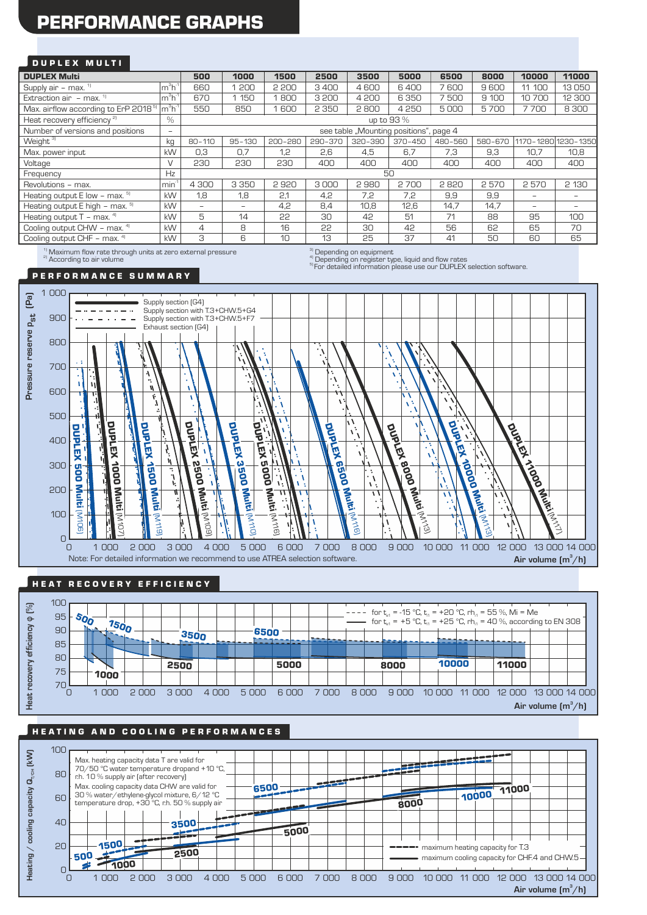# PERFORMANCE GRAPHS

#### D U P L E X M U L T I

| <b>DUPLEX Multi</b>                                                                                                                                                                                                                  |                 | 500                                    | 1000              | 1500    | 2500    | 3500    | 5000    | 6500    | 8000    | 10000                    | 11000   |
|--------------------------------------------------------------------------------------------------------------------------------------------------------------------------------------------------------------------------------------|-----------------|----------------------------------------|-------------------|---------|---------|---------|---------|---------|---------|--------------------------|---------|
| Supply air - max. $1$                                                                                                                                                                                                                | $m^3h^1$        | 660                                    | 200               | 2 200   | 3400    | 4600    | 6400    | 7600    | 9600    | 11 100                   | 13050   |
| Extraction air $-$ max. $11$                                                                                                                                                                                                         | $m^3h^1$        | 670                                    | 150               | 1800    | 3200    | 4 200   | 6350    | 7500    | 9 100   | 10700                    | 12 300  |
| Max. airflow according to ErP 2018 <sup>5</sup>                                                                                                                                                                                      | $m3h-1$         | 550                                    | 850               | 1600    | 2 3 5 0 | 2800    | 4250    | 5000    | 5700    | 7700                     | 8 3 0 0 |
| Heat recovery efficiency <sup>21</sup>                                                                                                                                                                                               | %               | up to 93 %                             |                   |         |         |         |         |         |         |                          |         |
| Number of versions and positions                                                                                                                                                                                                     | $\qquad \qquad$ | see table "Mounting positions", page 4 |                   |         |         |         |         |         |         |                          |         |
| Weight <sup>3]</sup>                                                                                                                                                                                                                 | kg              | $80 - 110$                             | $95 - 130$        | 200-280 | 290-370 | 320-390 | 370-450 | 480-560 | 580-670 | 1170-1280 1230-1350      |         |
| Max. power input                                                                                                                                                                                                                     | kW              | 0,3                                    | 0,7               | 1,2     | 2,6     | 4,5     | 6.7     | 7,3     | 9,3     | 10,7                     | 10,8    |
| Voltage                                                                                                                                                                                                                              | $\vee$          | 230                                    | 230               | 230     | 400     | 400     | 400     | 400     | 400     | 400                      | 400     |
| Frequency                                                                                                                                                                                                                            | Hz              | 50                                     |                   |         |         |         |         |         |         |                          |         |
| Revolutions - max.                                                                                                                                                                                                                   | $min-1$         | 4 3 0 0                                | 3 3 5 0           | 2920    | 3000    | 2980    | 2700    | 2820    | 2570    | 2570                     | 2 130   |
| Heating output $E$ low - max. $5$                                                                                                                                                                                                    | kW              | 1,8                                    | 1,8               | 2,1     | 4,2     | 7,2     | 7,2     | 9,9     | 9,9     | $\overline{\phantom{0}}$ | -       |
| Heating output E high - max. 5)                                                                                                                                                                                                      | kW              | $\overline{\phantom{0}}$               | $\qquad \qquad -$ | 4,2     | 8,4     | 10.8    | 12,6    | 14,7    | 14.7    | $\overline{\phantom{0}}$ | -       |
| Heating output $T - \text{max.}^{4}$                                                                                                                                                                                                 | kW              | 5                                      | 14                | 22      | 30      | 42      | 51      | 71      | 88      | 95                       | 100     |
| Cooling output CHW - max. 41                                                                                                                                                                                                         | kW              | 4                                      | 8                 | 16      | 22      | 30      | 42      | 56      | 62      | 65                       | 70      |
| Cooling output CHF - max. 41                                                                                                                                                                                                         | kW              | 3                                      | 6                 | 10      | 13      | 25      | 37      | 41      | 50      | 60                       | 65      |
| <b>AND CONTRACT CONTRACT OF CONTRACT CONTRACT CONTRACT CONTRACT CONTRACT CONTRACT CONTRACT CONTRACT CONTRACT CONTRACT CONTRACT CONTRACT CONTRACT CONTRACT CONTRACT CONTRACT CONTRACT CONTRACT CONTRACT CONTRACT CONTRACT CONTRAC</b> |                 |                                        |                   |         |         |         |         |         |         |                          |         |

 $^{41}$ Maximum flow rate through units at zero external pressure<br><sup>a)</sup> According to air volume

 $\sigma^{\rm (3)}_{\rm (1)}$  Depending on equipment<br> $\sigma^{\rm (4)}_{\rm (2)}$  Depending on register type, liquid and flow rates

<sup>5)</sup> For detailed information please use our DUPLEX selection software.

#### P E R F O R M A N C E S U M M A R Y



#### HEAT RECOVERY EFFICIENCY



### HE A TING AND COOLING PERFORMANCES

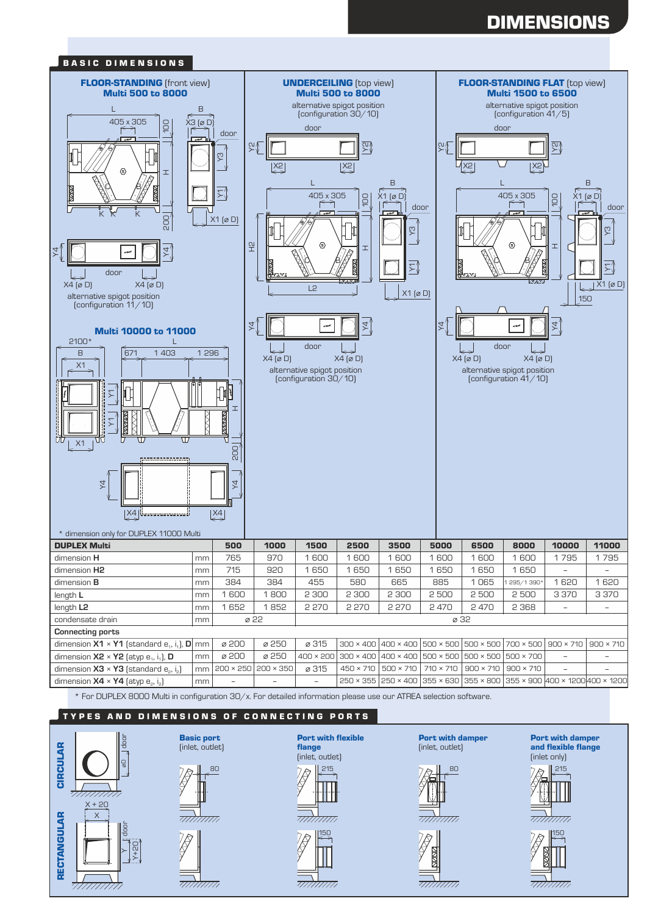# **DIMENSIONS**



#### TYPES AND DIMENSIONS OF CONNECTING PORTS









Port with damper (inlet, outlet)





E

गागेगाग





Port with damper and flexible flange (inlet only)



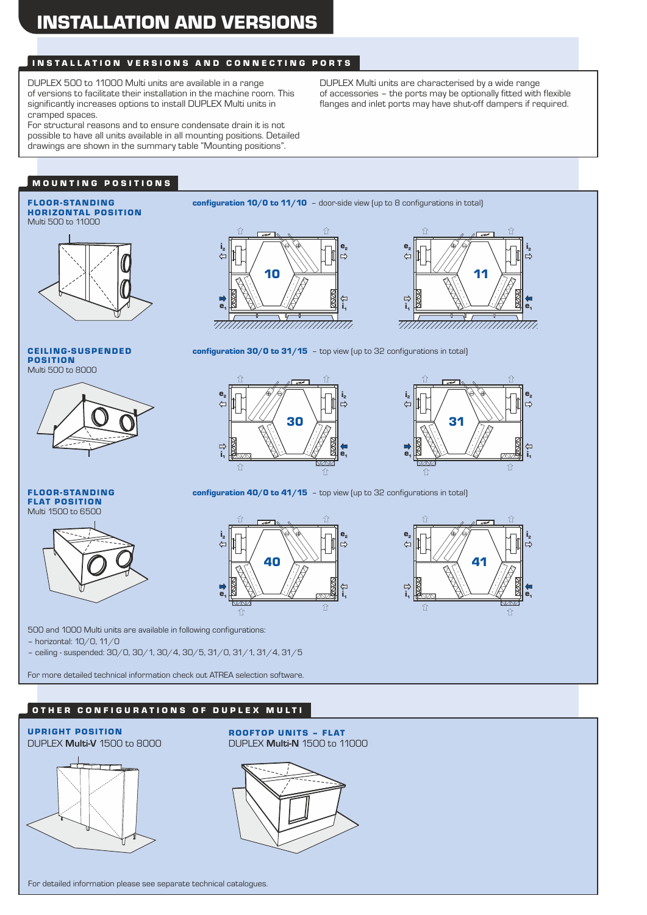## INSTALLATION VERSIONS AND CONNECTING PORTS

DUPLEX 500 to 11000 Multi units are available in a range of versions to facilitate their installation in the machine room. This significantly increases options to install DUPLEX Multi units in cramped spaces.

For structural reasons and to ensure condensate drain it is not possible to have all units available in all mounting positions. Detailed drawings are shown in the summary table "Mounting positions".

DUPLEX Multi units are characterised by a wide range of accessories – the ports may be optionally fitted with flexible flanges and inlet ports may have shut-off dampers if required.

## MOUNTING POSITIONS

FLOOR-STANDING configuration 10/0 to 11/10 - door-side view (up to 8 configurations in total)



e,  $\subset$ 10 e1 i, uihuuniiniuuniin





-9 4 e, i, 30 弓  $\ddot{\mathbf{e}}_1$ i,  $\Omega$ 介



FLOOR-STANDING FLAT POSITION

Multi 500 to 8000

POSITION

CEILING-SUSPENDED



configuration 40/0 to 41/15 - top view (up to 32 configurations in total)





500 and 1000 Multi units are available in following configurations:

– horizontal: 10/0, 11/0

– ceiling - suspended: 30/0, 30/1, 30/4, 30/5, 31/0, 31/1, 31/4, 31/5

For more detailed technical information check out ATREA selection software.

### OTHER CONFIGURATIONS OF DUPLEX MULTI



UPRIGHT POSITION<br>DUPLEX Multi-V 1500 to 8000 DUPLEX Multi-N 1500 to 1 DUPLEX **Multi-V** 1500 to 8000 DUPLEX **Multi-N** 1500 to 11000

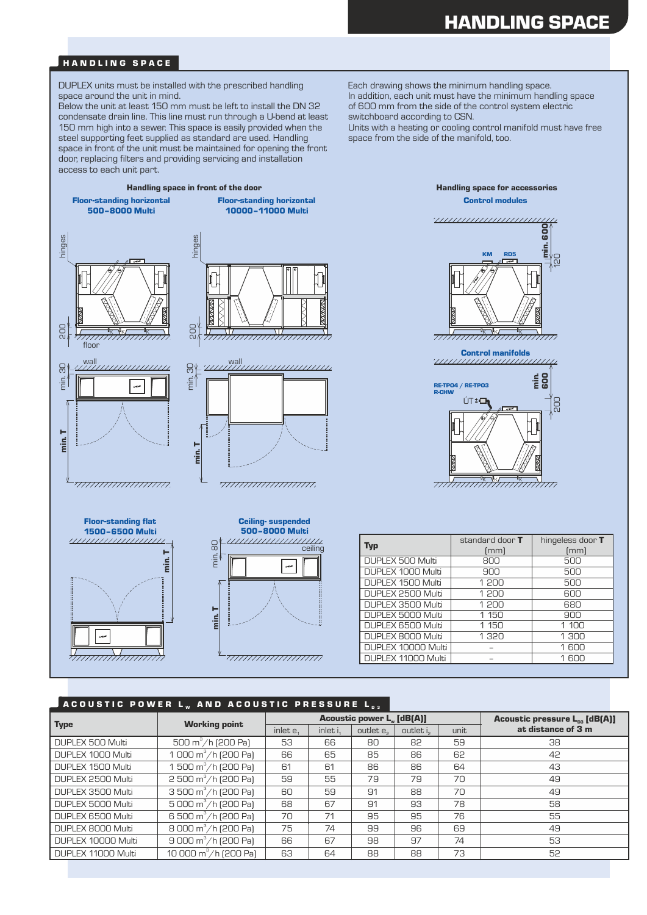#### HANDLING SPACE

DUPLEX units must be installed with the prescribed handling space around the unit in mind.

Below the unit at least 150 mm must be left to install the DN 32 condensate drain line. This line must run through a U-bend at least 150 mm high into a sewer. This space is easily provided when the steel supporting feet supplied as standard are used. Handling space in front of the unit must be maintained for opening the front door, replacing filters and providing servicing and installation access to each unit part.

In addition, each unit must have the minimum handling space of 600 mm from the side of the control system electric switchboard according to CSN. Each drawing shows the minimum handling space.

Units with a heating or cooling control manifold must have free space from the side of the manifold, too.





 $\frac{\text{min. I}}{\text{min. }}$ ceiling min. 



| Typ                | standard door <b>T</b><br>[mm] | hingeless door T<br>[mm] |
|--------------------|--------------------------------|--------------------------|
| DUPLEX 500 Multi   | 800                            | 500                      |
| DUPLEX 1000 Multi  | 900                            | 500                      |
| DUPLEX 1500 Multi  | 1 200                          | 500                      |
| DUPLEX 2500 Multi  | 1 200                          | 600                      |
| DUPLEX 3500 Multi  | 1 200                          | 680                      |
| DUPLEX 5000 Multi  | 1 150                          | 900                      |
| DUPLEX 6500 Multi  | 1 150                          | 1 100                    |
| DUPLEX 8000 Multi  | 1320                           | 1 300                    |
| DUPLEX 10000 Multi |                                | 1600                     |
| DUPLEX 11000 Multi |                                | 1 600                    |

#### ACOUSTIC POWER LW AND ACOUSTIC PRESSURE L

<del>mminimmi</del>i

|                    |                                      |             |            | <b>Acoustic power L. [dB[A]]</b> | <b>Acoustic pressure <math>L_{p3}</math> [dB(A)]</b> |      |                    |
|--------------------|--------------------------------------|-------------|------------|----------------------------------|------------------------------------------------------|------|--------------------|
| <b>Type</b>        | <b>Working point</b>                 | inlet $e_1$ | inlet $i1$ | outlet e <sub>2</sub>            | outlet i <sub>2</sub>                                | unit | at distance of 3 m |
| DUPLEX 500 Multi   | $\frac{300 \text{ m}^3}{h}$ [200 Pa] | 53          | 66         | 80                               | 82                                                   | 59   | 38                 |
| DUPLEX 1000 Multi  | 1 000 $m^3/h$ [200 Pa]               | 66          | 65         | 85                               | 86                                                   | 62   | 42                 |
| DUPLEX 1500 Multi  | 1 500 m <sup>3</sup> /h (200 Pa)     | 61          | 61         | 86                               | 86                                                   | 64   | 43                 |
| DUPLEX 2500 Multi  | $2500 \text{ m}^3/\text{h}$ (200 Pa) | 59          | 55         | 79                               | 79                                                   | 70   | 49                 |
| DUPLEX 3500 Multi  | 3 500 $m^3/h$ [200 Pa]               | 60          | 59         | 91                               | 88                                                   | 70   | 49                 |
| DUPLEX 5000 Multi  | $5000 \text{ m}^3/\text{h}$ [200 Pa] | 68          | 67         | 91                               | 93                                                   | 78   | 58                 |
| DUPLEX 6500 Multi  | 6 500 m <sup>3</sup> /h (200 Pa)     | 70          | 71         | 95                               | 95                                                   | 76   | 55                 |
| DUPLEX 8000 Multi  | 8 000 m <sup>3</sup> /h (200 Pa)     | 75          | 74         | 99                               | 96                                                   | 69   | 49                 |
| DUPLEX 10000 Multi | 9 000 $m^3/h$ (200 Pa)               | 66          | 67         | 98                               | 97                                                   | 74   | 53                 |
| DUPLEX 11000 Multi | 10 000 m <sup>3</sup> /h (200 Pa)    | 63          | 64         | 88                               | 88                                                   | 73   | 52                 |

Control modules

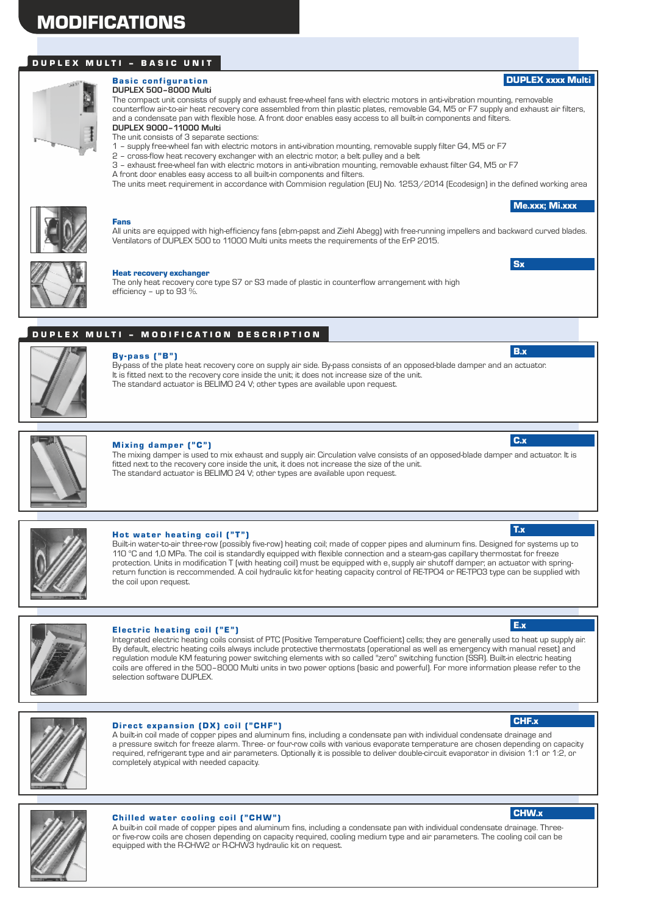### DUPLEX MULTI - BASIC UNIT



#### **DUPLEX 500–8000 Multi Basic configuration**

The compact unit consists of supply and exhaust free-wheel fans with electric motors in anti-vibration mounting, removable counterflow air-to-air heat recovery core assembled from thin plastic plates, removable G4, M5 or F7 supply and exhaust air filters, and a condensate pan with flexible hose. A front door enables easy access to all built-in components and filters. **DUPLEX 9000–11000 Multi**

The unit consists of 3 separate sections:

1 – supply free-wheel fan with electric motors in anti-vibration mounting, removable supply filter G4, M5 or F7

- 2 cross-flow heat recovery exchanger with an electric motor, a belt pulley and a belt
- 3 exhaust free-wheel fan with electric motors in anti-vibration mounting, removable exhaust filter G4, M5 or F7 A front door enables easy access to all built-in components and filters.

The units meet requirement in accordance with Commision regulation (EU) No. 1253/2014 (Ecodesign) in the defined working area



#### Fans

All units are equipped with high-efficiency fans (ebm-papst and Ziehl Abegg) with free-running impellers and backward curved blades. Ventilators of DUPLEX 500 to 11000 Multi units meets the requirements of the ErP 2015.



#### Heat recovery exchanger

The only heat recovery core type S7 or S3 made of plastic in counterflow arrangement with high efficiency – up to 93 %.

### DUPLEX MULTI - MODIFICATION DESCRIPTION



#### By-pass ("B")

It is fitted next to the recovery core inside the unit; it does not increase size of the unit. The standard actuator is BELIMO 24 V; other types are available upon request. By-pass of the plate heat recovery core on supply air side. By-pass consists of an opposed-blade damper and an actuator.



#### **Mixing damper ("C")**

The mixing damper is used to mix exhaust and supply air. Circulation valve consists of an opposed-blade damper and actuator. It is fitted next to the recovery core inside the unit, it does not increase the size of the unit. The standard actuator is BELIMO 24 V; other types are available upon request.



#### Hot water heating coil ("T")

Built-in water-to-air three-row (possibly five-row) heating coil; made of copper pipes and aluminum fins. Designed for systems up to 110 °C and 1,0 MPa. The coil is standardly equipped with flexible connection and a steam-gas capillary thermostat for freeze protection. Units in modification T (with heating coil) must be equipped with e<sub>1</sub> supply air shutoff damper; an actuator with springreturn function is reccommended. A coil hydraulic kitfor heating capacity control of RE-TPO4 or RE-TPO3 type can be supplied with the coil upon request.



#### Electric heating coil ("E")

Integrated electric heating coils consist of PTC (Positive Temperature Coefficient) cells; they are generally used to heat up supply air. By default, electric heating coils always include protective thermostats (operational as well as emergency with manual reset) and regulation module KM featuring power switching elements with so called "zero" switching function (SSR). Built-in electric heating coils are offered in the 500–8000 Multi units in two power options (basic and powerful). For more information please refer to the selection software DUPLEX.



#### Direct expansion (DX) coil ("CHF")

A built-in coil made of copper pipes and aluminum fins, including a condensate pan with individual condensate drainage and a pressure switch for freeze alarm. Three- or four-row coils with various evaporate temperature are chosen depending on capacity required, refrigerant type and air parameters. Optionally it is possible to deliver double-circuit evaporator in division 1:1 or 1:2, or completely atypical with needed capacity.



#### **Chilled water cooling coil ("CHW")**

A built-in coil made of copper pipes and aluminum fins, including a condensate pan with individual condensate drainage. Threeor five-row coils are chosen depending on capacity required, cooling medium type and air parameters. The cooling coil can be equipped with the R-CHW2 or R-CHW3 hydraulic kit on request.

#### E.x

Me.xxx; Mi.xxx

DUPLEX xxxx Multi

**Sx** 

B.x

C.x

T.x

#### CHF.x

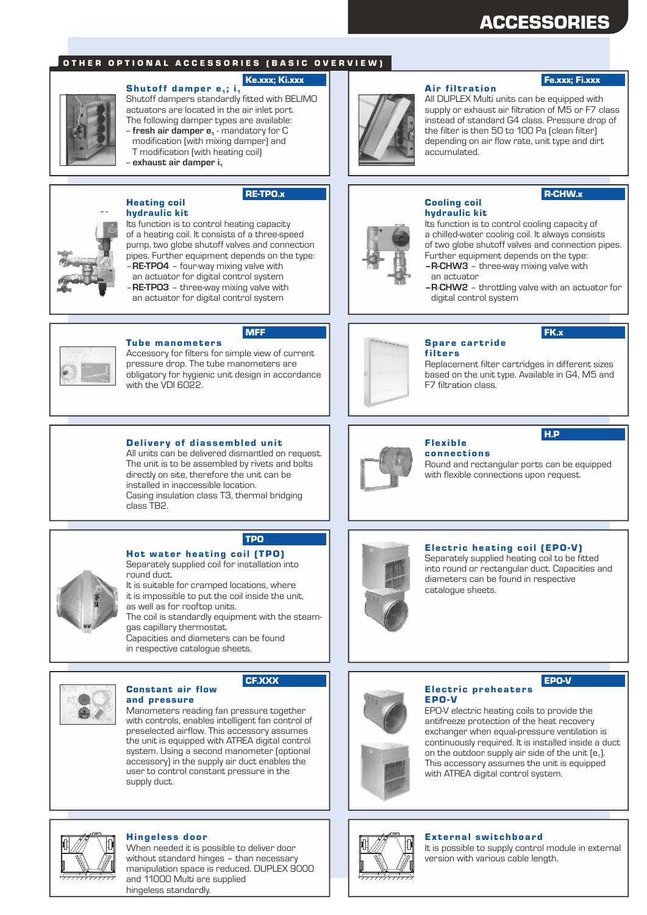# ACCESSORIES

#### OTHER OPTIONAL ACCESSORIES (BASIC OVERVIEW)

#### Ke.xxx; Ki.xxx

Shutoff damper  $e_1$ ; i<sub>1</sub> Shutoff dampers standardly fitted with BELIMO actuators are located in the air inlet port. The following damper types are available: -- **fresh air damper e** - mandatory for C **<sup>1</sup>** modification (with mixing damper) and

- T modification (with heating coil)
- -- **exhaust air damper i<sup>1</sup>**

### Heating coil hydraulic kit

#### RE-TPO.x



Its function is to control heating capacity of a heating coil. It consists of a three-speed pump, two globe shutoff valves and connection pipes. Further equipment depends on the type: –**RE-TPO4** – four-way mixing valve with an actuator for digital control system

–**RE-TPO3** – three-way mixing valve with an actuator for digital control system



#### **Tube manometers** MFF

Accessory for filters for simple view of current pressure drop. The tube manometers are obligatory for hygienic unit design in accordance with the VDI 6022.

#### Delivery of diassembled unit

Casing insulation class T3, thermal bridging class TB2. All units can be delivered dismantled on request. The unit is to be assembled by rivets and bolts directly on site, therefore the unit can be installed in inaccessible location.



TPO

# Hot water heating coil (TPO)

Separately supplied coil for installation into round duct.

It is suitable for cramped locations, where it is impossible to put the coil inside the unit, as well as for rooftop units.

The coil is standardly equipment with the steamgas capillary thermostat.

Capacities and diameters can be found in respective catalogue sheets.



#### Constant air flow CF.XXX

Manometers reading fan pressure together with controls, enables intelligent fan control of preselected airflow. This accessory assumes the unit is equipped with ATREA digital control system. Using a second manometer (optional accessory) in the supply air duct enables the user to control constant pressure in the supply duct. and pressure



#### **Air filtration**

### Fe.xxx; Fi.xxx

All DUPLEX Multi units can be equipped with supply or exhaust air filtration of M5 or F7 class instead of standard G4 class. Pressure drop of the filter is then 50 to 100 Pa (clean filter) depending on air flow rate, unit type and dirt accumulated.

## hydraulic kit Cooling coil

### R-CHW.x

FK.x

H.P

Its function is to control cooling capacity of a chilled-water cooling coil. It always consists of two globe shutoff valves and connection pipes. Further equipment depends on the type:

- **–R-CHW3** three-way mixing valve with an actuator
- - **–R**-**CHW2** throttling valve with an actuator for digital control system



#### Spare cartride filters

Replacement filter cartridges in different sizes based on the unit type. Available in G4, M5 and F7 filtration class.



# Flex ible

connections Round and rectangular ports can be equipped with flexible connections upon request.



### Electric heating coil (EPO-V)

Separately supplied heating coil to be fitted into round or rectangular duct. Capacities and diameters can be found in respective catalogue sheets.

#### Electric preheaters EPO-V

EPO-V electric heating coils to provide the antifreeze protection of the heat recovery exchanger when equal-pressure ventilation is continuously required. It is installed inside a duct on the outdoor supply air side of the unit  $[e_1]$ . This accessory assumes the unit is equipped with ATREA digital control system.

EPO-V



### Hingeless door **External switchboard**  $\begin{bmatrix} \Box & \partial \overline{\partial} & \Box \end{bmatrix}$  External switchboard

It is possible to supply control module in external version with various cable length.



When needed it is possible to deliver door without standard hinges – than necessary manipulation space is reduced. DUPLEX 9000 and 11000 Multi are supplied hingeless standardly.